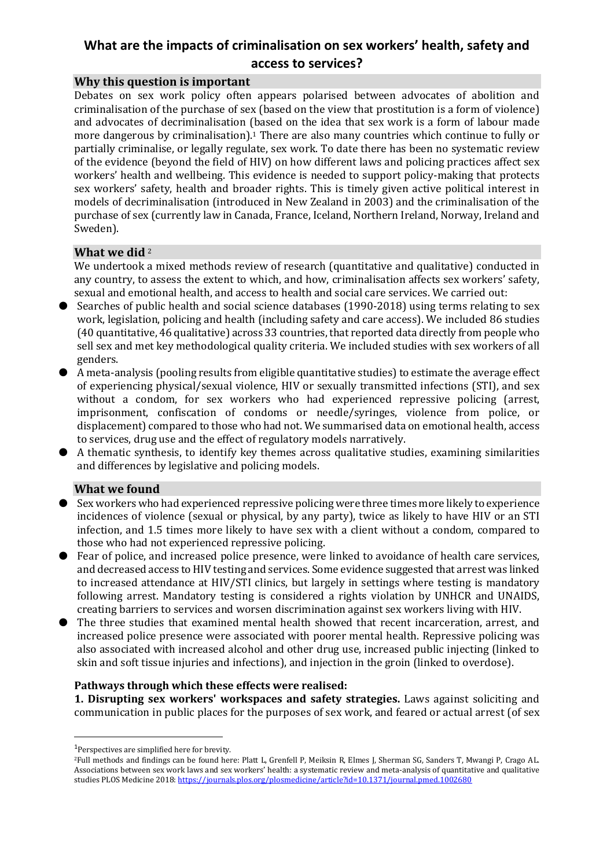# **What are the impacts of criminalisation on sex workers' health, safety and access to services?**

## **Why this question is important**

Debates on sex work policy often appears polarised between advocates of abolition and criminalisation of the purchase of sex (based on the view that prostitution is a form of violence) and advocates of decriminalisation (based on the idea that sex work is a form of labour made more dangerous by criminalisation). <sup>1</sup> There are also many countries which continue to fully or partially criminalise, or legally regulate, sex work. To date there has been no systematic review of the evidence (beyond the field of HIV) on how different laws and policing practices affect sex workers' health and wellbeing. This evidence is needed to support policy-making that protects sex workers' safety, health and broader rights. This is timely given active political interest in models of decriminalisation (introduced in New Zealand in 2003) and the criminalisation of the purchase of sex (currently law in Canada, France, Iceland, Northern Ireland, Norway, Ireland and Sweden).

## **What we did** <sup>2</sup>

We undertook a mixed methods review of research (quantitative and qualitative) conducted in any country, to assess the extent to which, and how, criminalisation affects sex workers' safety, sexual and emotional health, and access to health and social care services. We carried out:

- Searches of public health and social science databases (1990-2018) using terms relating to sex work, legislation, policing and health (including safety and care access). We included 86 studies (40 quantitative, 46 qualitative) across 33 countries, that reported data directly from people who sell sex and met key methodological quality criteria. We included studies with sex workers of all genders.
- A meta-analysis (pooling results from eligible quantitative studies) to estimate the average effect of experiencing physical/sexual violence, HIV or sexually transmitted infections (STI), and sex without a condom, for sex workers who had experienced repressive policing (arrest, imprisonment, confiscation of condoms or needle/syringes, violence from police, or displacement) compared to those who had not. We summarised data on emotional health, access to services, drug use and the effect of regulatory models narratively.
- A thematic synthesis, to identify key themes across qualitative studies, examining similarities and differences by legislative and policing models.

## **What we found**

- Sex workers who had experienced repressive policing were three times more likely to experience incidences of violence (sexual or physical, by any party), twice as likely to have HIV or an STI infection, and 1.5 times more likely to have sex with a client without a condom, compared to those who had not experienced repressive policing.
- Fear of police, and increased police presence, were linked to avoidance of health care services, and decreased access to HIV testing and services. Some evidence suggested that arrest was linked to increased attendance at HIV/STI clinics, but largely in settings where testing is mandatory following arrest. Mandatory testing is considered a rights violation by UNHCR and UNAIDS, creating barriers to services and worsen discrimination against sex workers living with HIV.
- The three studies that examined mental health showed that recent incarceration, arrest, and increased police presence were associated with poorer mental health. Repressive policing was also associated with increased alcohol and other drug use, increased public injecting (linked to skin and soft tissue injuries and infections), and injection in the groin (linked to overdose).

#### **Pathways through which these effects were realised:**

**1. Disrupting sex workers' workspaces and safety strategies.** Laws against soliciting and communication in public places for the purposes of sex work, and feared or actual arrest (of sex

**.** 

<sup>&</sup>lt;sup>1</sup>Perspectives are simplified here for brevity.

<sup>2</sup>Full methods and findings can be found here: Platt L, Grenfell P, Meiksin R, Elmes J, Sherman SG, Sanders T, Mwangi P, Crago AL. Associations between sex work laws and sex workers' health: a systematic review and meta-analysis of quantitative and qualitative studies PLOS Medicine 2018: <https://journals.plos.org/plosmedicine/article?id=10.1371/journal.pmed.1002680>